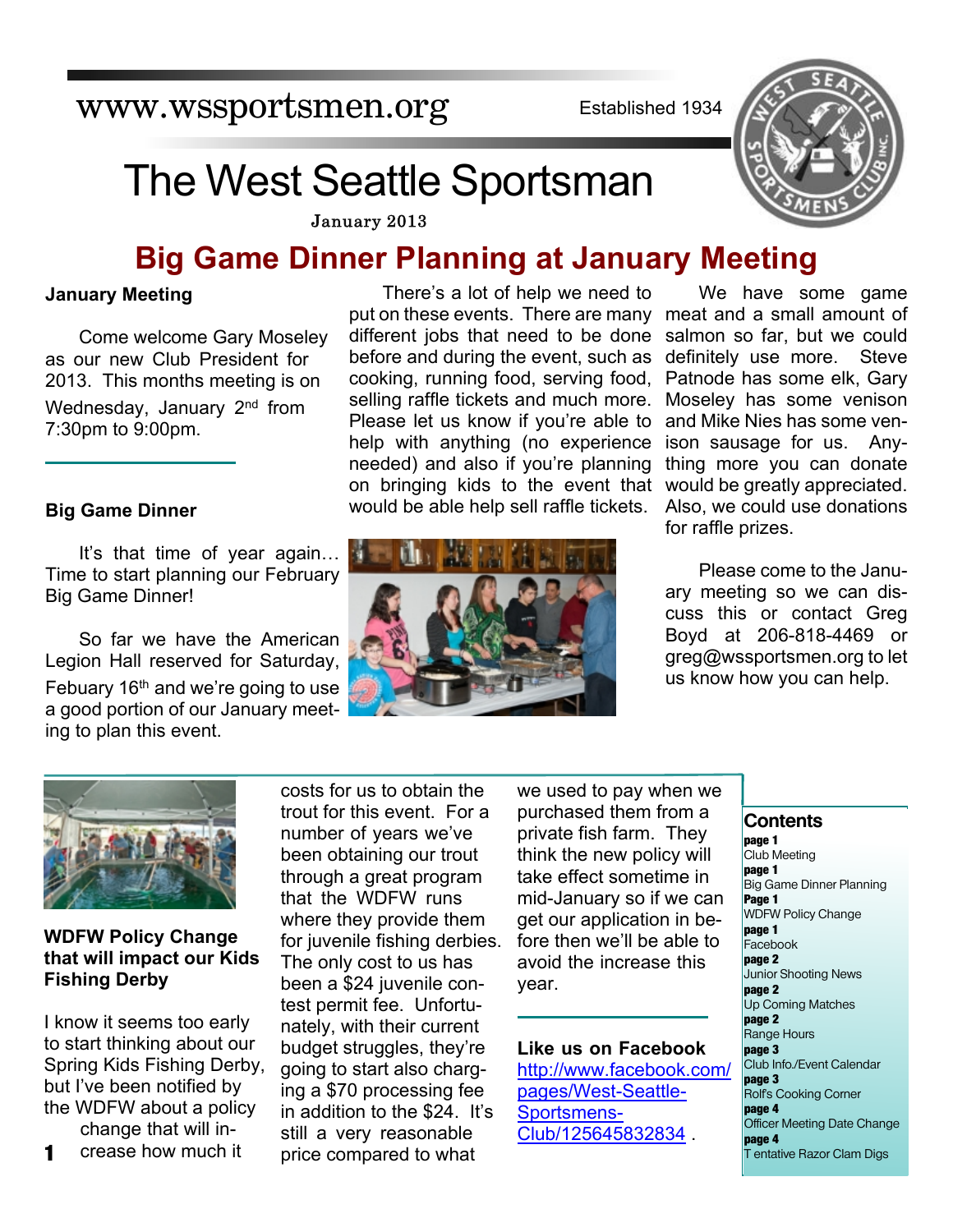www.wssportsmen.org

Established 1934

# The West Seattle Sportsman

January 2013

# **Big Game Dinner Planning at January Meeting**

# **January Meeting**

Come welcome Gary Moseley as our new Club President for 2013. This months meeting is on Wednesday, January 2<sup>nd</sup> from 7:30pm to 9:00pm.

# **Big Game Dinner**

It's that time of year again… Time to start planning our February Big Game Dinner!

So far we have the American Legion Hall reserved for Saturday, Febuary  $16<sup>th</sup>$  and we're going to use a good portion of our January meeting to plan this event.

There's a lot of help we need to put on these events. There are many different jobs that need to be done before and during the event, such as cooking, running food, serving food, selling raffle tickets and much more. Please let us know if you're able to help with anything (no experience needed) and also if you're planning on bringing kids to the event that would be able help sell raffle tickets.



We have some game meat and a small amount of salmon so far, but we could definitely use more. Steve Patnode has some elk, Gary Moseley has some venison and Mike Nies has some venison sausage for us. Anything more you can donate would be greatly appreciated. Also, we could use donations for raffle prizes.

Please come to the January meeting so we can discuss this or contact Greg Boyd at 206-818-4469 or greg@wssportsmen.org to let us know how you can help.



# **WDFW Policy Change that will impact our Kids Fishing Derby**

I know it seems too early to start thinking about our Spring Kids Fishing Derby, but I've been notified by the WDFW about a policy change that will in-

**1** crease how much it costs for us to obtain the trout for this event. For a number of years we've been obtaining our trout through a great program that the WDFW runs where they provide them for juvenile fishing derbies. The only cost to us has been a \$24 juvenile contest permit fee. Unfortunately, with their current budget struggles, they're going to start also charging a \$70 processing fee in addition to the \$24. It's still a very reasonable price compared to what

we used to pay when we purchased them from a private fish farm. They think the new policy will take effect sometime in mid-January so if we can get our application in before then we'll be able to avoid the increase this year.

**Like us on Facebook** http://www.facebook.com/ pages/West-Seattle-Sportsmens-Club/125645832834 .

### **Contents**

**page 1** Club Meeting **page 1** Big Game Dinner Planning **Page 1** WDFW Policy Change **page 1** Facebook **page 2** Junior Shooting News **page 2** Up Coming Matches **page 2** Range Hours **page 3** Club Info./Event Calendar **page 3** Rolf's Cooking Corner **page 4** Officer Meeting Date Change **page 4** T entative Razor Clam Digs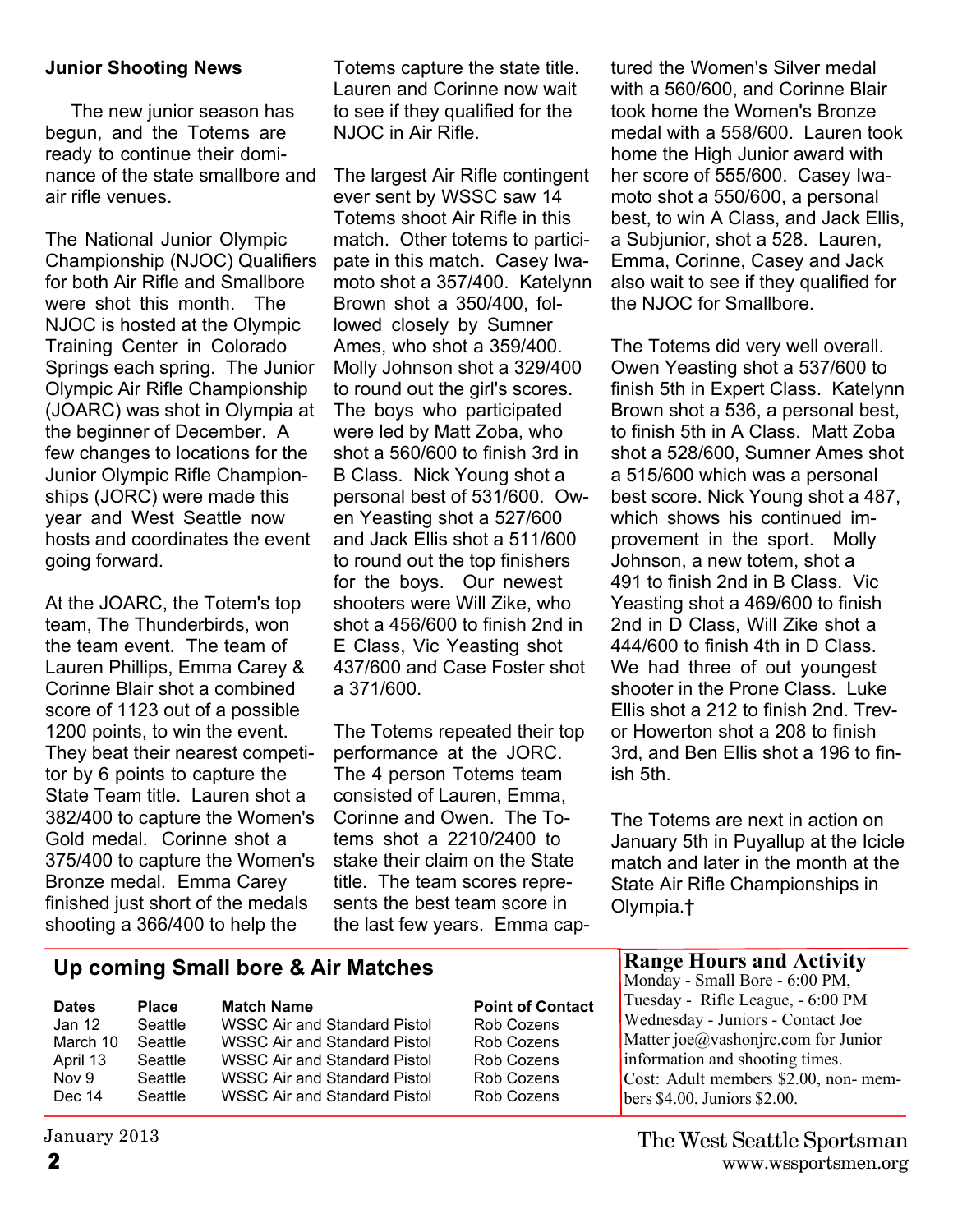# **Junior Shooting News**

 The new junior season has begun, and the Totems are ready to continue their dominance of the state smallbore and air rifle venues.

The National Junior Olympic Championship (NJOC) Qualifiers for both Air Rifle and Smallbore were shot this month. The NJOC is hosted at the Olympic Training Center in Colorado Springs each spring. The Junior Olympic Air Rifle Championship (JOARC) was shot in Olympia at the beginner of December. A few changes to locations for the Junior Olympic Rifle Championships (JORC) were made this year and West Seattle now hosts and coordinates the event going forward.

At the JOARC, the Totem's top team, The Thunderbirds, won the team event. The team of Lauren Phillips, Emma Carey & Corinne Blair shot a combined score of 1123 out of a possible 1200 points, to win the event. They beat their nearest competitor by 6 points to capture the State Team title. Lauren shot a 382/400 to capture the Women's Gold medal. Corinne shot a 375/400 to capture the Women's Bronze medal. Emma Carey finished just short of the medals shooting a 366/400 to help the

Totems capture the state title. Lauren and Corinne now wait to see if they qualified for the NJOC in Air Rifle.

The largest Air Rifle contingent ever sent by WSSC saw 14 Totems shoot Air Rifle in this match. Other totems to participate in this match. Casey Iwamoto shot a 357/400. Katelynn Brown shot a 350/400, followed closely by Sumner Ames, who shot a 359/400. Molly Johnson shot a 329/400 to round out the girl's scores. The boys who participated were led by Matt Zoba, who shot a 560/600 to finish 3rd in B Class. Nick Young shot a personal best of 531/600. Owen Yeasting shot a 527/600 and Jack Ellis shot a 511/600 to round out the top finishers for the boys. Our newest shooters were Will Zike, who shot a 456/600 to finish 2nd in E Class, Vic Yeasting shot 437/600 and Case Foster shot a 371/600.

The Totems repeated their top performance at the JORC. The 4 person Totems team consisted of Lauren, Emma, Corinne and Owen. The Totems shot a 2210/2400 to stake their claim on the State title. The team scores represents the best team score in the last few years. Emma captured the Women's Silver medal with a 560/600, and Corinne Blair took home the Women's Bronze medal with a 558/600. Lauren took home the High Junior award with her score of 555/600. Casey Iwamoto shot a 550/600, a personal best, to win A Class, and Jack Ellis, a Subjunior, shot a 528. Lauren, Emma, Corinne, Casey and Jack also wait to see if they qualified for the NJOC for Smallbore.

The Totems did very well overall. Owen Yeasting shot a 537/600 to finish 5th in Expert Class. Katelynn Brown shot a 536, a personal best, to finish 5th in A Class. Matt Zoba shot a 528/600, Sumner Ames shot a 515/600 which was a personal best score. Nick Young shot a 487, which shows his continued improvement in the sport. Molly Johnson, a new totem, shot a 491 to finish 2nd in B Class. Vic Yeasting shot a 469/600 to finish 2nd in D Class, Will Zike shot a 444/600 to finish 4th in D Class. We had three of out youngest shooter in the Prone Class. Luke Ellis shot a 212 to finish 2nd. Trevor Howerton shot a 208 to finish 3rd, and Ben Ellis shot a 196 to finish 5th.

The Totems are next in action on January 5th in Puyallup at the Icicle match and later in the month at the State Air Rifle Championships in Olympia.†

# **Up coming Small bore & Air Matches**

| <b>Dates</b> | <b>Place</b>   | <b>Match Name</b>                   | <b>Point of Contact</b> |
|--------------|----------------|-------------------------------------|-------------------------|
| Jan 12       | <b>Seattle</b> | WSSC Air and Standard Pistol        | Rob Cozens              |
| March 10     | <b>Seattle</b> | <b>WSSC Air and Standard Pistol</b> | Rob Cozens              |
| April 13     | Seattle        | <b>WSSC Air and Standard Pistol</b> | Rob Cozens              |
| Nov 9        | Seattle        | WSSC Air and Standard Pistol        | Rob Cozens              |
| Dec 14       | <b>Seattle</b> | WSSC Air and Standard Pistol        | Rob Cozens              |

January 2013

# **Range Hours and Activity**

Monday - Small Bore - 6:00 PM, Tuesday - Rifle League, - 6:00 PM Wednesday - Juniors - Contact Joe Matter joe@vashonjrc.com for Junior information and shooting times. Cost: Adult members \$2.00, non- members \$4.00, Juniors \$2.00.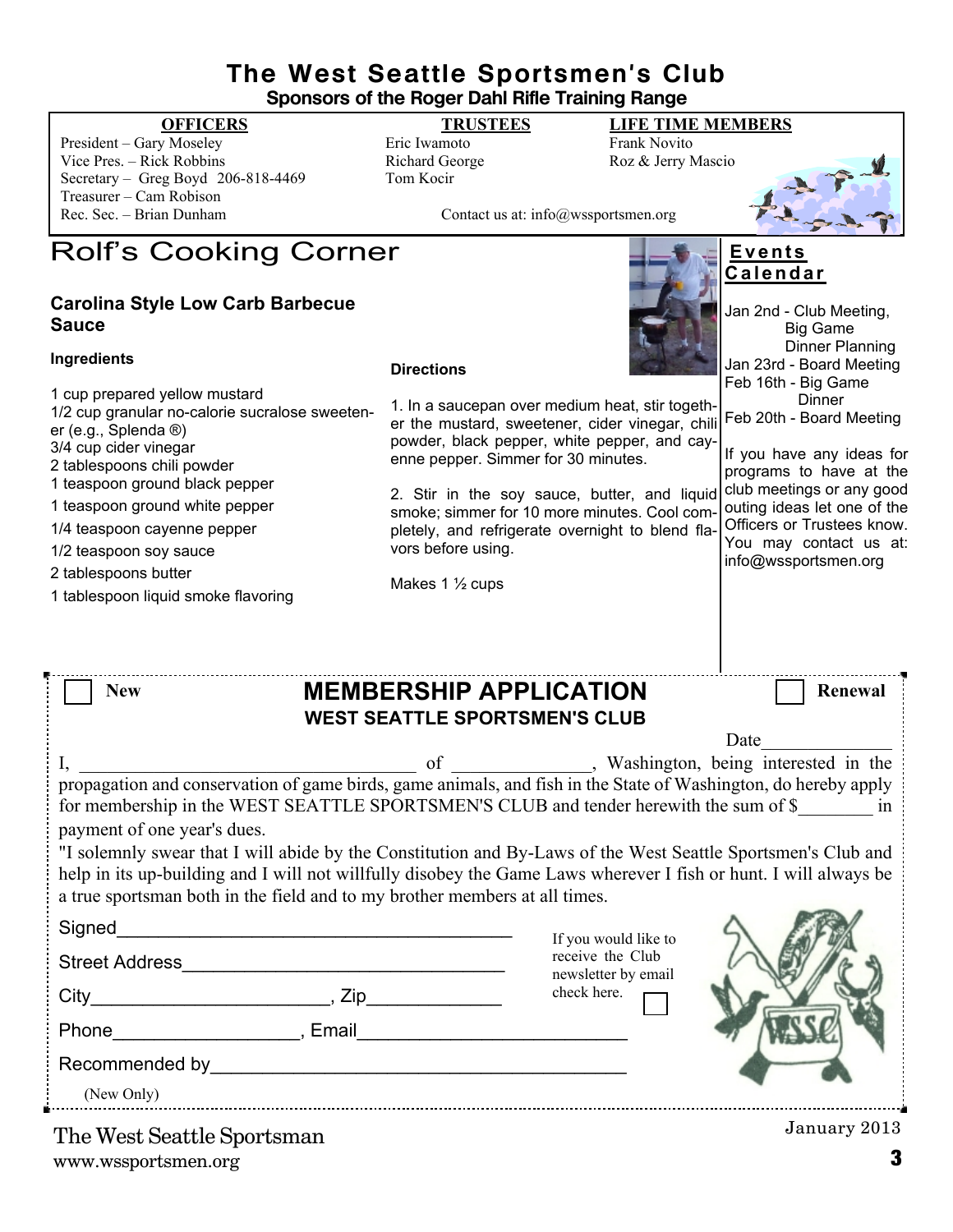# **The West Seattle Sportsmen's Club Sponsors of the Roger Dahl Rifle Training Range**

President – Gary Moseley **Eric Iwamoto** Eric Iwamoto Frank Novito Vice Pres. – Rick Robbins Richard George Roz & Jerry Mascio Secretary – Greg Boyd 206-818-4469 Tom Kocir Treasurer – Cam Robison

# **OFFICERS TRUSTEES LIFE TIME MEMBERS**

Contact us at: info@wssportsmen.org

# Rolf's Cooking Corner

# **Carolina Style Low Carb Barbecue Sauce**

### **Ingredients**

### **Directions**

1 cup prepared yellow mustard 1/2 cup granular no-calorie sucralose sweetener (e.g., Splenda ®) 3/4 cup cider vinegar 2 tablespoons chili powder 1 teaspoon ground black pepper 1 teaspoon ground white pepper 1/4 teaspoon cayenne pepper 1/2 teaspoon soy sauce 2 tablespoons butter

1 tablespoon liquid smoke flavoring



# **E v e n t s C a l e n d a r**

|                                                                                                                                                                        | Jan 2nd - Club Meeting,<br><b>Big Game</b><br>Dinner Planning                                                                            |
|------------------------------------------------------------------------------------------------------------------------------------------------------------------------|------------------------------------------------------------------------------------------------------------------------------------------|
| <b>Directions</b>                                                                                                                                                      | Jan 23rd - Board Meeting<br>Feb 16th - Big Game                                                                                          |
| 1. In a saucepan over medium heat, stir togeth-<br>er the mustard, sweetener, cider vinegar, chili                                                                     | Dinner<br>Feb 20th - Board Meeting                                                                                                       |
| powder, black pepper, white pepper, and cay-<br>enne pepper. Simmer for 30 minutes.                                                                                    | If you have any ideas for<br>programs to have at the                                                                                     |
| 2. Stir in the soy sauce, butter, and liquid<br>smoke; simmer for 10 more minutes. Cool com-<br>pletely, and refrigerate overnight to blend fla-<br>vors before using. | club meetings or any good<br>outing ideas let one of the<br>Officers or Trustees know.<br>You may contact us at:<br>info@wssportsmen.org |
| Makes 1 $\frac{1}{2}$ cups                                                                                                                                             |                                                                                                                                          |
|                                                                                                                                                                        |                                                                                                                                          |

| <b>New</b>                  | <b>MEMBERSHIP APPLICATION</b>                                                                                                                                                                                                                                                                                  |                                                      | Renewal                 |
|-----------------------------|----------------------------------------------------------------------------------------------------------------------------------------------------------------------------------------------------------------------------------------------------------------------------------------------------------------|------------------------------------------------------|-------------------------|
|                             | <b>WEST SEATTLE SPORTSMEN'S CLUB</b>                                                                                                                                                                                                                                                                           |                                                      |                         |
|                             |                                                                                                                                                                                                                                                                                                                | Date                                                 |                         |
| payment of one year's dues. | propagation and conservation of game birds, game animals, and fish in the State of Washington, do hereby apply<br>for membership in the WEST SEATTLE SPORTSMEN'S CLUB and tender herewith the sum of \$                                                                                                        | of ____________, Washington, being interested in the | $\overline{\mathbf{m}}$ |
|                             | "I solemnly swear that I will abide by the Constitution and By-Laws of the West Seattle Sportsmen's Club and<br>help in its up-building and I will not willfully disobey the Game Laws wherever I fish or hunt. I will always be<br>a true sportsman both in the field and to my brother members at all times. |                                                      |                         |
|                             |                                                                                                                                                                                                                                                                                                                |                                                      |                         |

| Signed                        |       | If you would like to<br>receive the Club<br>newsletter by email<br>check here. |                          |
|-------------------------------|-------|--------------------------------------------------------------------------------|--------------------------|
| <b>Street Address</b>         |       |                                                                                |                          |
|                               | Zip   |                                                                                |                          |
| Phone                         | Email |                                                                                |                          |
| Recommended by <b>Example</b> |       |                                                                                |                          |
| (New Only)                    |       |                                                                                |                          |
|                               |       |                                                                                | $I_{\text{annow}}$ $901$ |